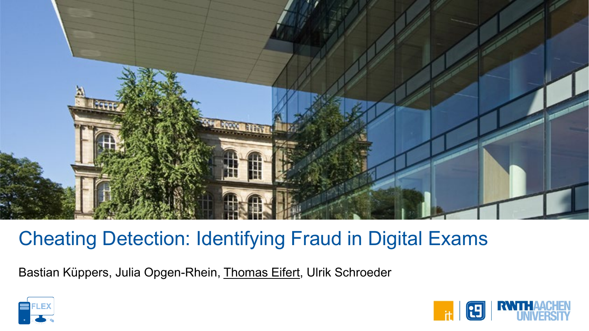

# Cheating Detection: Identifying Fraud in Digital Exams

Bastian Küppers, Julia Opgen-Rhein, Thomas Eifert, Ulrik Schroeder



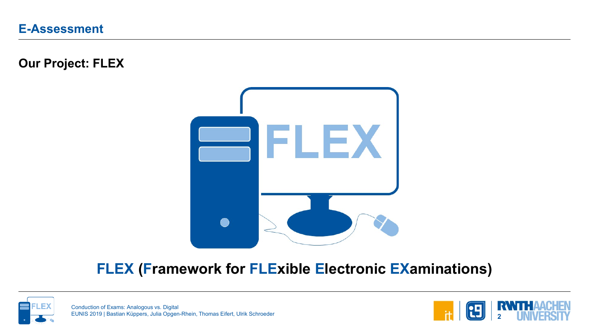**Our Project: FLEX**



## **FLEX (Framework for FLExible Electronic EXaminations)**



Conduction of Exams: Analogous vs. Digital EUNIS 2019 | Bastian Küppers, Julia Opgen-Rhein, Thomas Eifert, Ulrik Schroeder

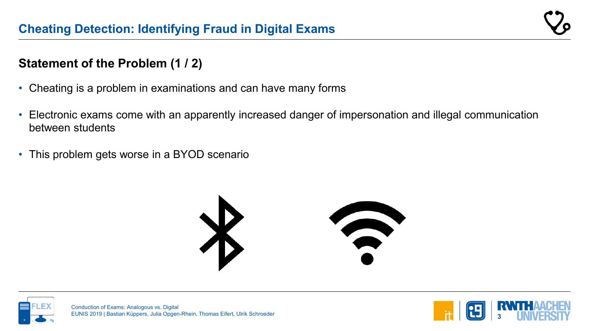### **Statement of the Problem (1 / 2)**

- Cheating is a problem in examinations and can have many forms
- Electronic exams come with an apparently increased danger of impersonation and illegal communication between students
- This problem gets worse in a BYOD scenario





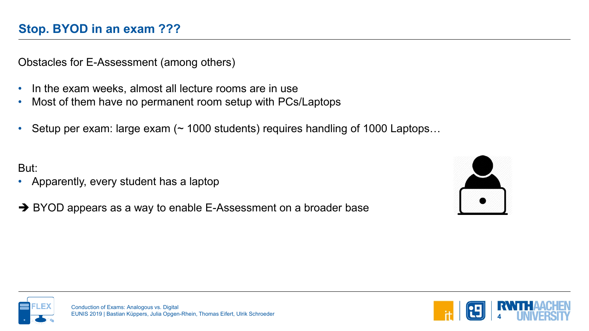Obstacles for E-Assessment (among others)

- In the exam weeks, almost all lecture rooms are in use
- Most of them have no permanent room setup with PCs/Laptops
- Setup per exam: large exam (~ 1000 students) requires handling of 1000 Laptops...

But:

- Apparently, every student has a laptop
- → BYOD appears as a way to enable E-Assessment on a broader base





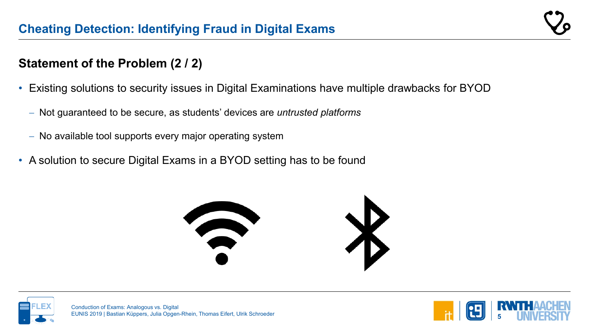#### **Statement of the Problem (2 / 2)**

- Existing solutions to security issues in Digital Examinations have multiple drawbacks for BYOD
	- − Not guaranteed to be secure, as students' devices are *untrusted platforms*
	- − No available tool supports every major operating system
- A solution to secure Digital Exams in a BYOD setting has to be found





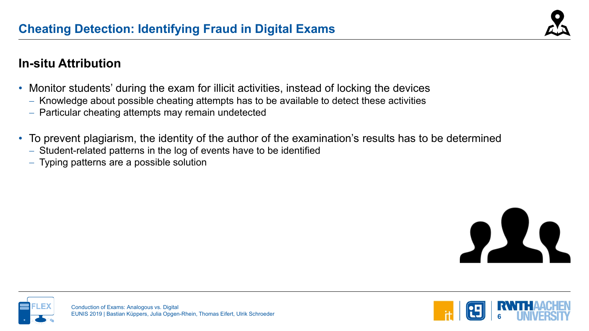

#### **In-situ Attribution**

- Monitor students' during the exam for illicit activities, instead of locking the devices
	- − Knowledge about possible cheating attempts has to be available to detect these activities
	- − Particular cheating attempts may remain undetected
- To prevent plagiarism, the identity of the author of the examination's results has to be determined
	- − Student-related patterns in the log of events have to be identified
	- − Typing patterns are a possible solution





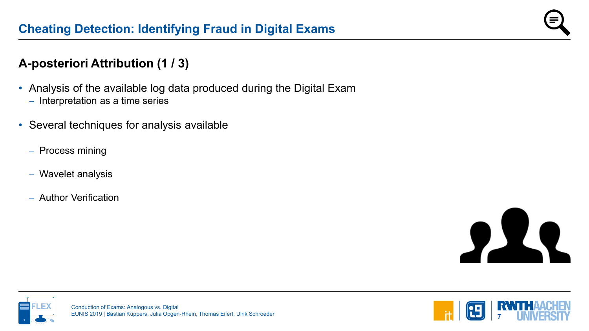#### **A-posteriori Attribution (1 / 3)**

- Analysis of the available log data produced during the Digital Exam
	- − Interpretation as a time series
- Several techniques for analysis available
	- − Process mining
	- − Wavelet analysis
	- − Author Verification





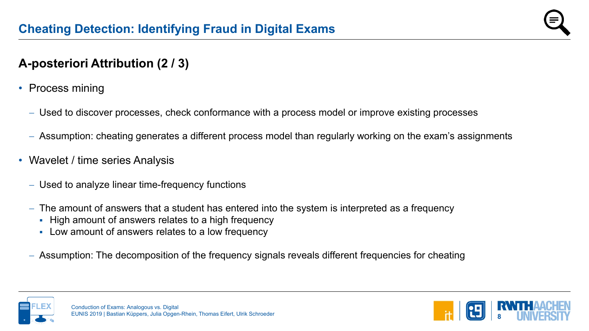### **A-posteriori Attribution (2 / 3)**

- Process mining
	- − Used to discover processes, check conformance with a process model or improve existing processes
	- − Assumption: cheating generates a different process model than regularly working on the exam's assignments
- Wavelet / time series Analysis
	- − Used to analyze linear time-frequency functions
	- − The amount of answers that a student has entered into the system is interpreted as a frequency
		- **High amount of answers relates to a high frequency**
		- Low amount of answers relates to a low frequency
	- − Assumption: The decomposition of the frequency signals reveals different frequencies for cheating



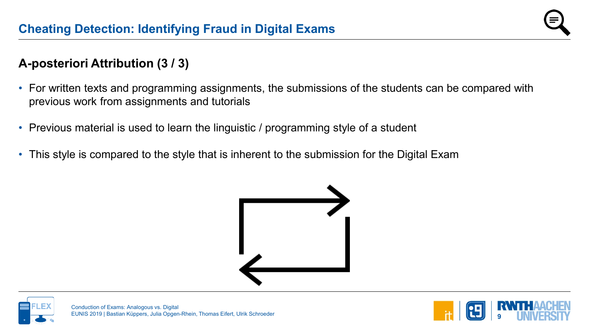#### **A-posteriori Attribution (3 / 3)**

- For written texts and programming assignments, the submissions of the students can be compared with previous work from assignments and tutorials
- Previous material is used to learn the linguistic / programming style of a student
- This style is compared to the style that is inherent to the submission for the Digital Exam





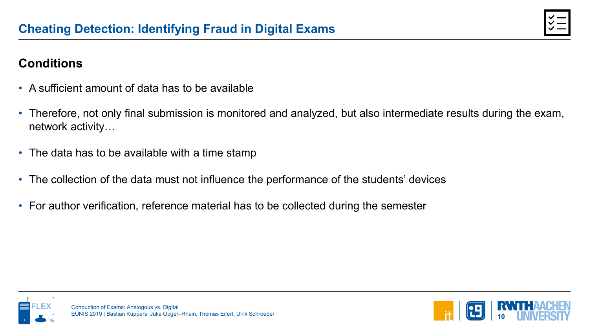### **Conditions**

- A sufficient amount of data has to be available
- Therefore, not only final submission is monitored and analyzed, but also intermediate results during the exam, network activity…
- The data has to be available with a time stamp
- The collection of the data must not influence the performance of the students' devices
- For author verification, reference material has to be collected during the semester



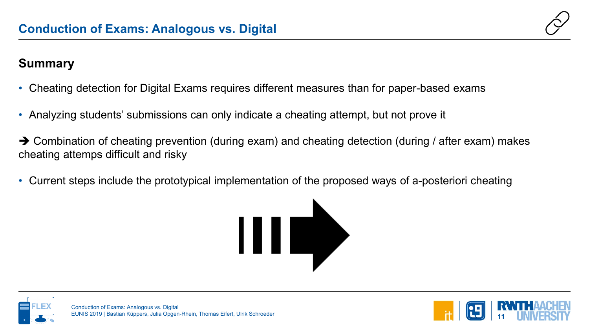

#### **Summary**

- Cheating detection for Digital Exams requires different measures than for paper-based exams
- Analyzing students' submissions can only indicate a cheating attempt, but not prove it
- $\rightarrow$  Combination of cheating prevention (during exam) and cheating detection (during / after exam) makes cheating attemps difficult and risky
- Current steps include the prototypical implementation of the proposed ways of a-posteriori cheating